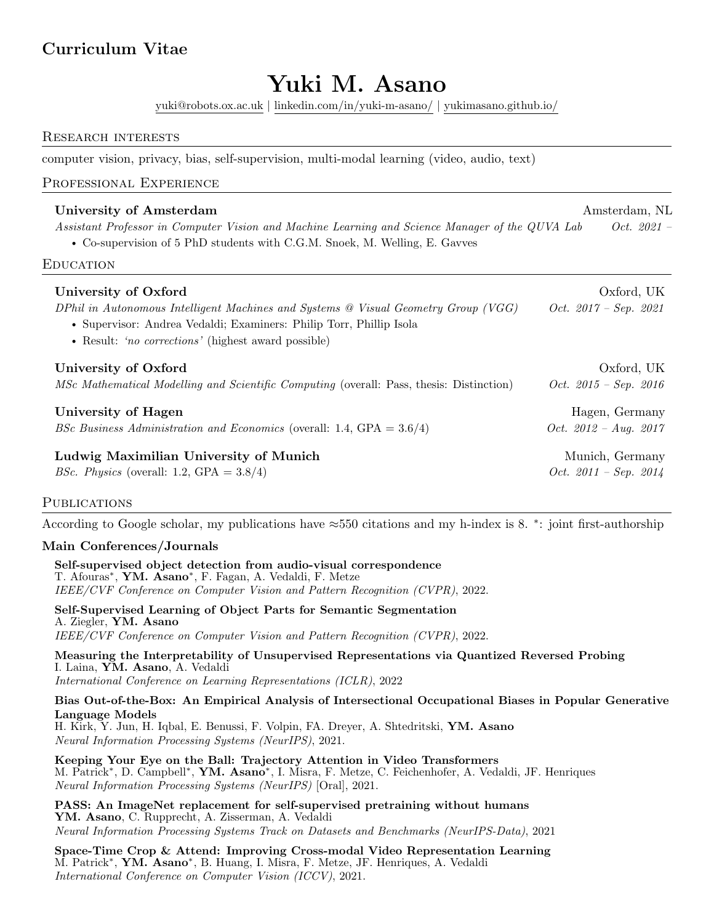# Curriculum Vitae

# Yuki M. Asano

[yuki@robots.ox.ac.uk](mailto:yuki@robots.ox.ac.uk) | [linkedin.com/in/yuki-m-asano/](https://www.linkedin.com/in/yuki-m-asano/) | [yukimasano.github.io/](https://yukimasano.github.io/)

#### Research interests

computer vision, privacy, bias, self-supervision, multi-modal learning (video, audio, text)

# Professional Experience

# University of Amsterdam and Theorem Amsterdam, NL Assistant Professor in Computer Vision and Machine Learning and Science Manager of the QUVA Lab Oct. 2021 – • Co-supervision of 5 PhD students with C.G.M. Snoek, M. Welling, E. Gavves

#### **EDUCATION**

| University of Oxford<br>DPhil in Autonomous Intelligent Machines and Systems @ Visual Geometry Group (VGG)<br>• Supervisor: Andrea Vedaldi; Examiners: Philip Torr, Phillip Isola<br>• Result: 'no corrections' (highest award possible) | Oxford, UK<br>Oct. $2017 - Sep.$ 2021 |
|------------------------------------------------------------------------------------------------------------------------------------------------------------------------------------------------------------------------------------------|---------------------------------------|
| University of Oxford                                                                                                                                                                                                                     | Oxford, UK                            |
| MSc Mathematical Modelling and Scientific Computing (overall: Pass, thesis: Distinction)                                                                                                                                                 | Oct. $2015 - Sep.$ 2016               |
| University of Hagen                                                                                                                                                                                                                      | Hagen, Germany                        |
| <i>BSc Business Administration and Economics</i> (overall: 1.4, $GPA = 3.6/4$ )                                                                                                                                                          | Oct. $2012 - Aug. 2017$               |
| Ludwig Maximilian University of Munich                                                                                                                                                                                                   | Munich, Germany                       |
| <i>BSc. Physics</i> (overall: 1.2, GPA = $3.8/4$ )                                                                                                                                                                                       | Oct. $2011 - Sep.$ $2014$             |

#### **PUBLICATIONS**

According to Google scholar, my publications have ≈550 citations and my h-index is 8. <sup>∗</sup> : joint first-authorship

#### Main Conferences/Journals

Self-supervised object detection from audio-visual correspondence T. Afouras<sup>∗</sup> , YM. Asano<sup>∗</sup> , F. Fagan, A. Vedaldi, F. Metze IEEE/CVF Conference on Computer Vision and Pattern Recognition (CVPR), 2022.

Self-Supervised Learning of Object Parts for Semantic Segmentation A. Ziegler, YM. Asano IEEE/CVF Conference on Computer Vision and Pattern Recognition (CVPR), 2022.

Measuring the Interpretability of Unsupervised Representations via Quantized Reversed Probing I. Laina, YM. Asano, A. Vedaldi

International Conference on Learning Representations (ICLR), 2022

#### Bias Out-of-the-Box: An Empirical Analysis of Intersectional Occupational Biases in Popular Generative Language Models

H. Kirk, Y. Jun, H. Iqbal, E. Benussi, F. Volpin, FA. Dreyer, A. Shtedritski, YM. Asano Neural Information Processing Systems (NeurIPS), 2021.

Keeping Your Eye on the Ball: Trajectory Attention in Video Transformers M. Patrick<sup>\*</sup>, D. Campbell<sup>\*</sup>, **YM. Asano**<sup>\*</sup>, I. Misra, F. Metze, C. Feichenhofer, A. Vedaldi, JF. Henriques Neural Information Processing Systems (NeurIPS) [Oral], 2021.

PASS: An ImageNet replacement for self-supervised pretraining without humans YM. Asano, C. Rupprecht, A. Zisserman, A. Vedaldi Neural Information Processing Systems Track on Datasets and Benchmarks (NeurIPS-Data), 2021

Space-Time Crop & Attend: Improving Cross-modal Video Representation Learning M. Patrick<sup>\*</sup>, **YM. Asano**<sup>\*</sup>, B. Huang, I. Misra, F. Metze, JF. Henriques, A. Vedaldi International Conference on Computer Vision (ICCV), 2021.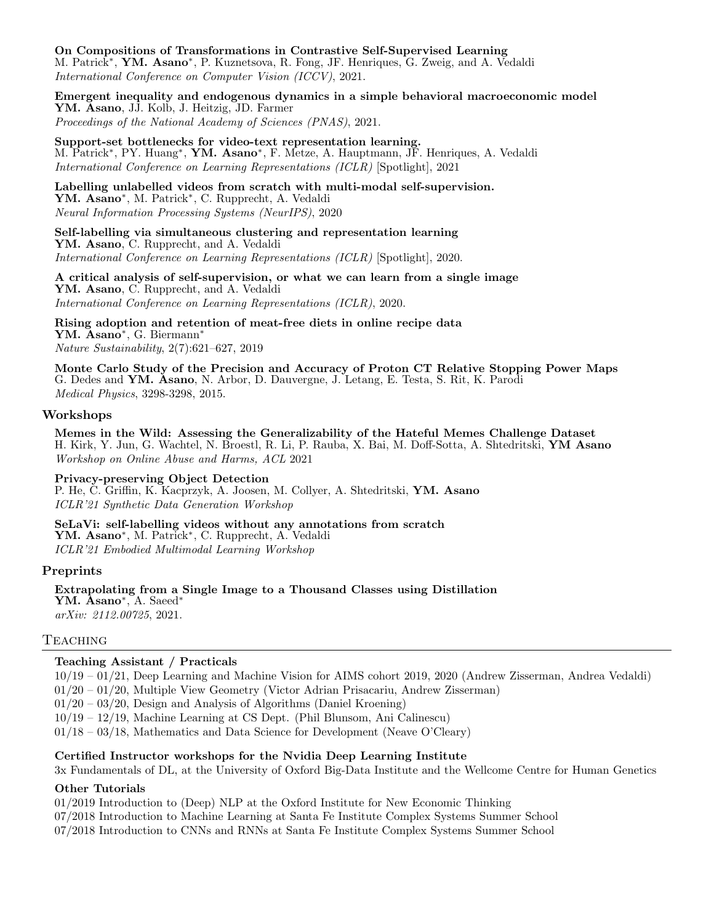#### On Compositions of Transformations in Contrastive Self-Supervised Learning

M. Patrick<sup>\*</sup>, **YM. Asano**<sup>\*</sup>, P. Kuznetsova, R. Fong, JF. Henriques, G. Zweig, and A. Vedaldi International Conference on Computer Vision (ICCV), 2021.

Emergent inequality and endogenous dynamics in a simple behavioral macroeconomic model YM. Asano, JJ. Kolb, J. Heitzig, JD. Farmer Proceedings of the National Academy of Sciences (PNAS), 2021.

Support-set bottlenecks for video-text representation learning. M. Patrick<sup>\*</sup>, PY. Huang<sup>\*</sup>, **YM. Asano**<sup>\*</sup>, F. Metze, A. Hauptmann, JF. Henriques, A. Vedaldi International Conference on Learning Representations (ICLR) [Spotlight], 2021

Labelling unlabelled videos from scratch with multi-modal self-supervision. YM. Asano<sup>∗</sup> , M. Patrick<sup>∗</sup> , C. Rupprecht, A. Vedaldi Neural Information Processing Systems (NeurIPS), 2020

Self-labelling via simultaneous clustering and representation learning YM. Asano, C. Rupprecht, and A. Vedaldi International Conference on Learning Representations (ICLR) [Spotlight], 2020.

A critical analysis of self-supervision, or what we can learn from a single image YM. Asano, C. Rupprecht, and A. Vedaldi International Conference on Learning Representations (ICLR), 2020.

Rising adoption and retention of meat-free diets in online recipe data YM. Asano<sup>∗</sup> , G. Biermann<sup>∗</sup> Nature Sustainability, 2(7):621–627, 2019

Monte Carlo Study of the Precision and Accuracy of Proton CT Relative Stopping Power Maps G. Dedes and YM. Asano, N. Arbor, D. Dauvergne, J. Letang, E. Testa, S. Rit, K. Parodi Medical Physics, 3298-3298, 2015.

#### Workshops

Memes in the Wild: Assessing the Generalizability of the Hateful Memes Challenge Dataset H. Kirk, Y. Jun, G. Wachtel, N. Broestl, R. Li, P. Rauba, X. Bai, M. Doff-Sotta, A. Shtedritski, YM Asano Workshop on Online Abuse and Harms, ACL 2021

Privacy-preserving Object Detection P. He, C. Griffin, K. Kacprzyk, A. Joosen, M. Collyer, A. Shtedritski, YM. Asano ICLR'21 Synthetic Data Generation Workshop

SeLaVi: self-labelling videos without any annotations from scratch YM. Asano<sup>∗</sup> , M. Patrick<sup>∗</sup> , C. Rupprecht, A. Vedaldi ICLR'21 Embodied Multimodal Learning Workshop

#### Preprints

Extrapolating from a Single Image to a Thousand Classes using Distillation YM. Asano<sup>\*</sup>, A. Saeed<sup>\*</sup> arXiv: 2112.00725, 2021.

#### Teaching

#### Teaching Assistant / Practicals

10/19 – 01/21, Deep Learning and Machine Vision for AIMS cohort 2019, 2020 (Andrew Zisserman, Andrea Vedaldi)

01/20 – 01/20, Multiple View Geometry (Victor Adrian Prisacariu, Andrew Zisserman)

01/20 – 03/20, Design and Analysis of Algorithms (Daniel Kroening)

10/19 – 12/19, Machine Learning at CS Dept. (Phil Blunsom, Ani Calinescu)

01/18 – 03/18, Mathematics and Data Science for Development (Neave O'Cleary)

#### Certified Instructor workshops for the Nvidia Deep Learning Institute

3x Fundamentals of DL, at the University of Oxford Big-Data Institute and the Wellcome Centre for Human Genetics

#### Other Tutorials

01/2019 Introduction to (Deep) NLP at the Oxford Institute for New Economic Thinking

07/2018 Introduction to Machine Learning at Santa Fe Institute Complex Systems Summer School

07/2018 Introduction to CNNs and RNNs at Santa Fe Institute Complex Systems Summer School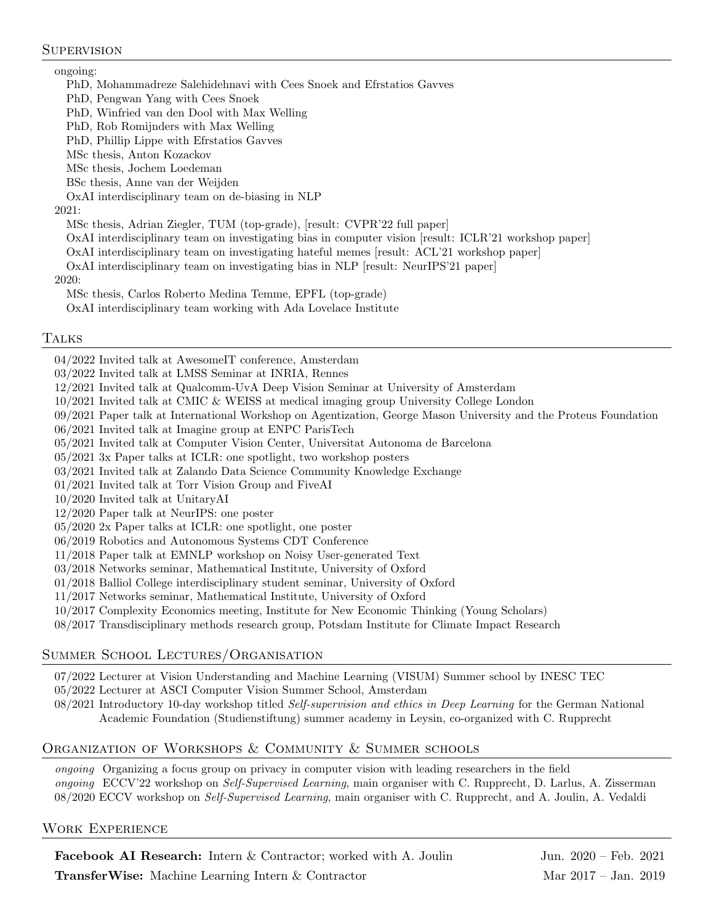# **SUPERVISION**

### ongoing:

PhD, Mohammadreze Salehidehnavi with Cees Snoek and Efrstatios Gavves

PhD, Pengwan Yang with Cees Snoek

PhD, Winfried van den Dool with Max Welling

PhD, Rob Romijnders with Max Welling

PhD, Phillip Lippe with Efrstatios Gavves

MSc thesis, Anton Kozackov

MSc thesis, Jochem Loedeman

BSc thesis, Anne van der Weijden

OxAI interdisciplinary team on de-biasing in NLP

# 2021:

MSc thesis, Adrian Ziegler, TUM (top-grade), [result: CVPR'22 full paper]

OxAI interdisciplinary team on investigating bias in computer vision [result: ICLR'21 workshop paper]

OxAI interdisciplinary team on investigating hateful memes [result: ACL'21 workshop paper]

OxAI interdisciplinary team on investigating bias in NLP [result: NeurIPS'21 paper]

2020:

MSc thesis, Carlos Roberto Medina Temme, EPFL (top-grade)

OxAI interdisciplinary team working with Ada Lovelace Institute

# Talks

04/2022 Invited talk at AwesomeIT conference, Amsterdam

- 03/2022 Invited talk at LMSS Seminar at INRIA, Rennes
- 12/2021 Invited talk at Qualcomm-UvA Deep Vision Seminar at University of Amsterdam

10/2021 Invited talk at CMIC & WEISS at medical imaging group University College London

- 09/2021 Paper talk at International Workshop on Agentization, George Mason University and the Proteus Foundation
- 06/2021 Invited talk at Imagine group at ENPC ParisTech
- 05/2021 Invited talk at Computer Vision Center, Universitat Autonoma de Barcelona

05/2021 3x Paper talks at ICLR: one spotlight, two workshop posters

03/2021 Invited talk at Zalando Data Science Community Knowledge Exchange

01/2021 Invited talk at Torr Vision Group and FiveAI

- 10/2020 Invited talk at UnitaryAI
- 12/2020 Paper talk at NeurIPS: one poster
- 05/2020 2x Paper talks at ICLR: one spotlight, one poster
- 06/2019 Robotics and Autonomous Systems CDT Conference
- 11/2018 Paper talk at EMNLP workshop on Noisy User-generated Text
- 03/2018 Networks seminar, Mathematical Institute, University of Oxford
- 01/2018 Balliol College interdisciplinary student seminar, University of Oxford

11/2017 Networks seminar, Mathematical Institute, University of Oxford

- 10/2017 Complexity Economics meeting, Institute for New Economic Thinking (Young Scholars)
- 08/2017 Transdisciplinary methods research group, Potsdam Institute for Climate Impact Research

# Summer School Lectures/Organisation

- 07/2022 Lecturer at Vision Understanding and Machine Learning (VISUM) Summer school by INESC TEC
- 05/2022 Lecturer at ASCI Computer Vision Summer School, Amsterdam
- 08/2021 Introductory 10-day workshop titled Self-supervision and ethics in Deep Learning for the German National Academic Foundation (Studienstiftung) summer academy in Leysin, co-organized with C. Rupprecht

# Organization of Workshops & Community & Summer schools

ongoing Organizing a focus group on privacy in computer vision with leading researchers in the field ongoing ECCV'22 workshop on Self-Supervised Learning, main organiser with C. Rupprecht, D. Larlus, A. Zisserman 08/2020 ECCV workshop on Self-Supervised Learning, main organiser with C. Rupprecht, and A. Joulin, A. Vedaldi

# Work Experience

Facebook AI Research: Intern & Contractor; worked with A. Joulin Jun. 2020 – Feb. 2021

Transfer Wise: Machine Learning Intern & Contractor Mar 2017 – Jan. 2019